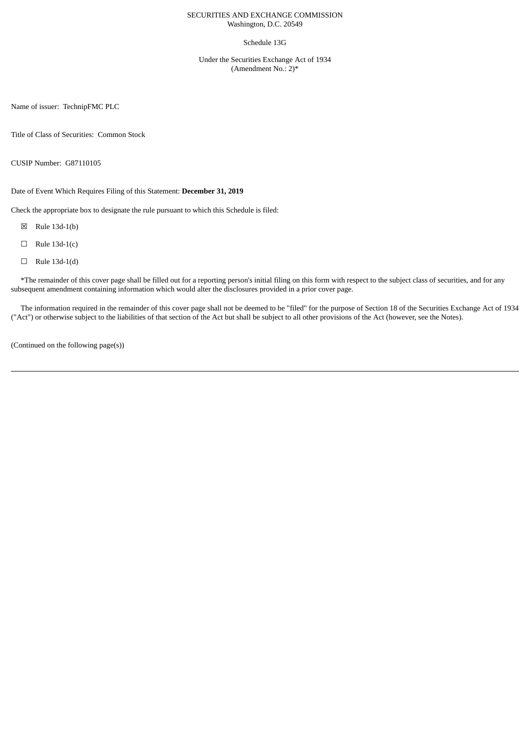### SECURITIES AND EXCHANGE COMMISSION Washington, D.C. 20549

### Schedule 13G

Under the Securities Exchange Act of 1934 (Amendment No.: 2)\*

Name of issuer: TechnipFMC PLC

Title of Class of Securities: Common Stock

CUSIP Number: G87110105

Date of Event Which Requires Filing of this Statement: **December 31, 2019**

Check the appropriate box to designate the rule pursuant to which this Schedule is filed:

☒ Rule 13d-1(b)

- $\Box$  Rule 13d-1(c)
- $\Box$  Rule 13d-1(d)

\*The remainder of this cover page shall be filled out for a reporting person's initial filing on this form with respect to the subject class of securities, and for any subsequent amendment containing information which would alter the disclosures provided in a prior cover page.

The information required in the remainder of this cover page shall not be deemed to be "filed" for the purpose of Section 18 of the Securities Exchange Act of 1934 ("Act") or otherwise subject to the liabilities of that section of the Act but shall be subject to all other provisions of the Act (however, see the Notes).

(Continued on the following page(s))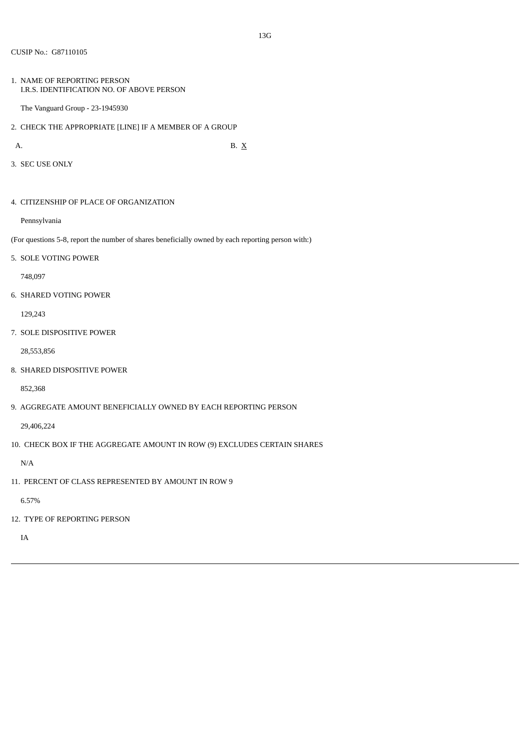1. NAME OF REPORTING PERSON I.R.S. IDENTIFICATION NO. OF ABOVE PERSON

The Vanguard Group - 23-1945930

2. CHECK THE APPROPRIATE [LINE] IF A MEMBER OF A GROUP

A. B.  $X$ 

3. SEC USE ONLY

4. CITIZENSHIP OF PLACE OF ORGANIZATION

Pennsylvania

(For questions 5-8, report the number of shares beneficially owned by each reporting person with:)

5. SOLE VOTING POWER

748,097

6. SHARED VOTING POWER

129,243

7. SOLE DISPOSITIVE POWER

28,553,856

8. SHARED DISPOSITIVE POWER

852,368

9. AGGREGATE AMOUNT BENEFICIALLY OWNED BY EACH REPORTING PERSON

29,406,224

10. CHECK BOX IF THE AGGREGATE AMOUNT IN ROW (9) EXCLUDES CERTAIN SHARES

N/A

11. PERCENT OF CLASS REPRESENTED BY AMOUNT IN ROW 9

6.57%

12. TYPE OF REPORTING PERSON

IA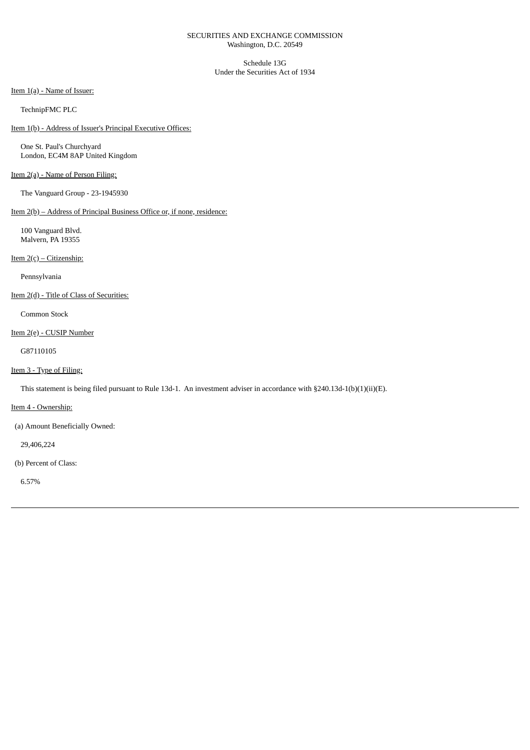### SECURITIES AND EXCHANGE COMMISSION Washington, D.C. 20549

Schedule 13G Under the Securities Act of 1934

Item 1(a) - Name of Issuer:

TechnipFMC PLC

Item 1(b) - Address of Issuer's Principal Executive Offices:

One St. Paul's Churchyard London, EC4M 8AP United Kingdom

# Item 2(a) - Name of Person Filing:

The Vanguard Group - 23-1945930

Item 2(b) – Address of Principal Business Office or, if none, residence:

100 Vanguard Blvd. Malvern, PA 19355

Item 2(c) – Citizenship:

Pennsylvania

Item 2(d) - Title of Class of Securities:

Common Stock

Item 2(e) - CUSIP Number

G87110105

### Item 3 - Type of Filing:

This statement is being filed pursuant to Rule 13d-1. An investment adviser in accordance with §240.13d-1(b)(1)(ii)(E).

Item 4 - Ownership:

(a) Amount Beneficially Owned:

29,406,224

(b) Percent of Class:

6.57%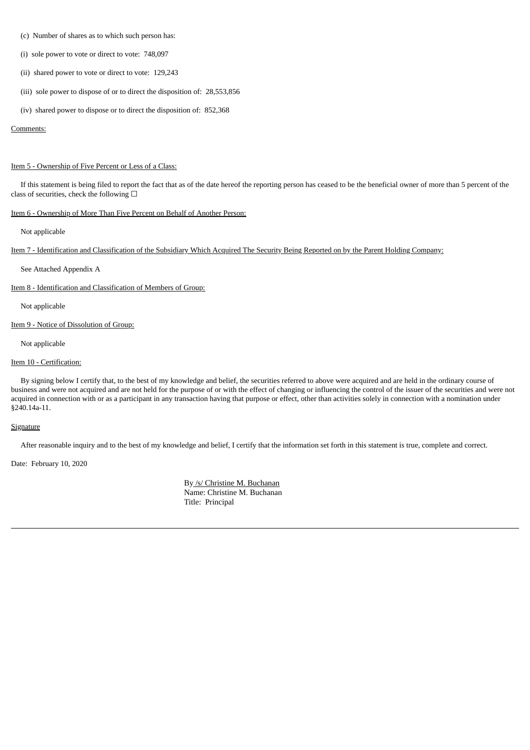- (c) Number of shares as to which such person has:
- (i) sole power to vote or direct to vote: 748,097
- (ii) shared power to vote or direct to vote: 129,243
- (iii) sole power to dispose of or to direct the disposition of: 28,553,856
- (iv) shared power to dispose or to direct the disposition of: 852,368

#### Comments:

#### Item 5 - Ownership of Five Percent or Less of a Class:

If this statement is being filed to report the fact that as of the date hereof the reporting person has ceased to be the beneficial owner of more than 5 percent of the class of securities, check the following  $\Box$ 

# Item 6 - Ownership of More Than Five Percent on Behalf of Another Person:

Not applicable

Item 7 - Identification and Classification of the Subsidiary Which Acquired The Security Being Reported on by the Parent Holding Company:

See Attached Appendix A

Item 8 - Identification and Classification of Members of Group:

Not applicable

Item 9 - Notice of Dissolution of Group:

Not applicable

### Item 10 - Certification:

By signing below I certify that, to the best of my knowledge and belief, the securities referred to above were acquired and are held in the ordinary course of business and were not acquired and are not held for the purpose of or with the effect of changing or influencing the control of the issuer of the securities and were not acquired in connection with or as a participant in any transaction having that purpose or effect, other than activities solely in connection with a nomination under §240.14a-11.

### **Signature**

After reasonable inquiry and to the best of my knowledge and belief, I certify that the information set forth in this statement is true, complete and correct.

Date: February 10, 2020

By /s/ Christine M. Buchanan Name: Christine M. Buchanan Title: Principal